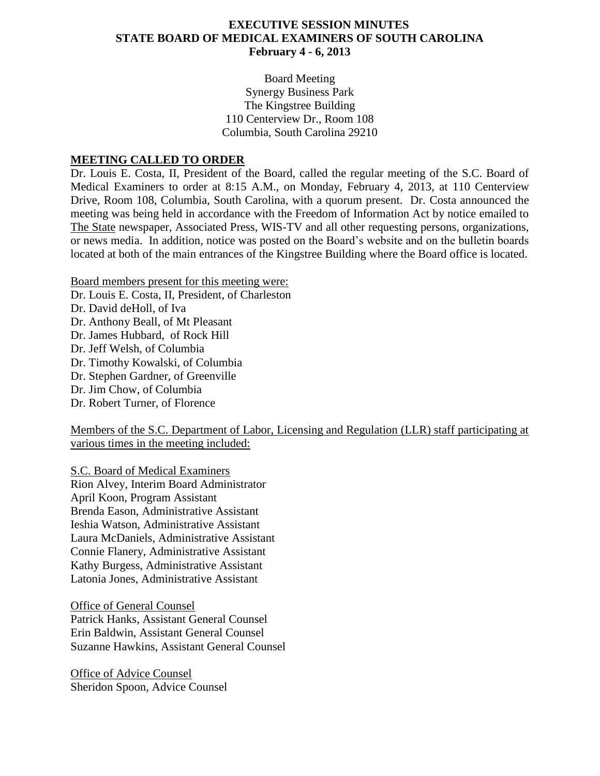## **EXECUTIVE SESSION MINUTES STATE BOARD OF MEDICAL EXAMINERS OF SOUTH CAROLINA February 4 - 6, 2013**

Board Meeting Synergy Business Park The Kingstree Building 110 Centerview Dr., Room 108 Columbia, South Carolina 29210

## **MEETING CALLED TO ORDER**

Dr. Louis E. Costa, II, President of the Board, called the regular meeting of the S.C. Board of Medical Examiners to order at 8:15 A.M., on Monday, February 4, 2013, at 110 Centerview Drive, Room 108, Columbia, South Carolina, with a quorum present. Dr. Costa announced the meeting was being held in accordance with the Freedom of Information Act by notice emailed to The State newspaper, Associated Press, WIS-TV and all other requesting persons, organizations, or news media. In addition, notice was posted on the Board's website and on the bulletin boards located at both of the main entrances of the Kingstree Building where the Board office is located.

Board members present for this meeting were:

Dr. Louis E. Costa, II, President, of Charleston

Dr. David deHoll, of Iva Dr. Anthony Beall, of Mt Pleasant Dr. James Hubbard, of Rock Hill Dr. Jeff Welsh, of Columbia Dr. Timothy Kowalski, of Columbia Dr. Stephen Gardner, of Greenville Dr. Jim Chow, of Columbia Dr. Robert Turner, of Florence

Members of the S.C. Department of Labor, Licensing and Regulation (LLR) staff participating at various times in the meeting included:

S.C. Board of Medical Examiners Rion Alvey, Interim Board Administrator April Koon, Program Assistant Brenda Eason, Administrative Assistant Ieshia Watson, Administrative Assistant Laura McDaniels, Administrative Assistant Connie Flanery, Administrative Assistant Kathy Burgess, Administrative Assistant Latonia Jones, Administrative Assistant

Office of General Counsel Patrick Hanks, Assistant General Counsel Erin Baldwin, Assistant General Counsel Suzanne Hawkins, Assistant General Counsel

Office of Advice Counsel Sheridon Spoon, Advice Counsel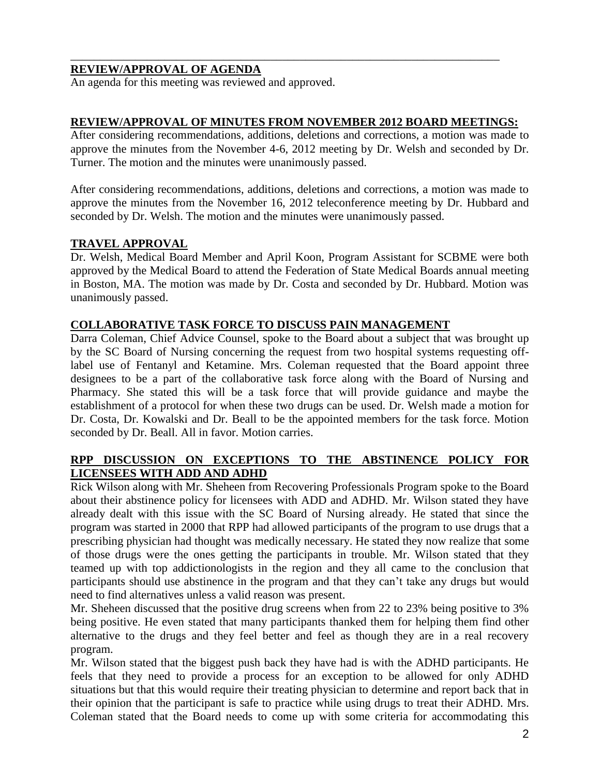## **REVIEW/APPROVAL OF AGENDA**

An agenda for this meeting was reviewed and approved.

## **REVIEW/APPROVAL OF MINUTES FROM NOVEMBER 2012 BOARD MEETINGS:**

\_\_\_\_\_\_\_\_\_\_\_\_\_\_\_\_\_\_\_\_\_\_\_\_\_\_\_\_\_\_\_\_\_\_\_\_\_\_\_\_\_\_\_\_\_\_\_\_\_\_\_\_\_\_\_\_\_\_\_\_\_\_\_\_\_\_\_\_\_\_\_\_\_

After considering recommendations, additions, deletions and corrections, a motion was made to approve the minutes from the November 4-6, 2012 meeting by Dr. Welsh and seconded by Dr. Turner. The motion and the minutes were unanimously passed.

After considering recommendations, additions, deletions and corrections, a motion was made to approve the minutes from the November 16, 2012 teleconference meeting by Dr. Hubbard and seconded by Dr. Welsh. The motion and the minutes were unanimously passed.

## **TRAVEL APPROVAL**

Dr. Welsh, Medical Board Member and April Koon, Program Assistant for SCBME were both approved by the Medical Board to attend the Federation of State Medical Boards annual meeting in Boston, MA. The motion was made by Dr. Costa and seconded by Dr. Hubbard. Motion was unanimously passed.

## **COLLABORATIVE TASK FORCE TO DISCUSS PAIN MANAGEMENT**

Darra Coleman, Chief Advice Counsel, spoke to the Board about a subject that was brought up by the SC Board of Nursing concerning the request from two hospital systems requesting offlabel use of Fentanyl and Ketamine. Mrs. Coleman requested that the Board appoint three designees to be a part of the collaborative task force along with the Board of Nursing and Pharmacy. She stated this will be a task force that will provide guidance and maybe the establishment of a protocol for when these two drugs can be used. Dr. Welsh made a motion for Dr. Costa, Dr. Kowalski and Dr. Beall to be the appointed members for the task force. Motion seconded by Dr. Beall. All in favor. Motion carries.

## **RPP DISCUSSION ON EXCEPTIONS TO THE ABSTINENCE POLICY FOR LICENSEES WITH ADD AND ADHD**

Rick Wilson along with Mr. Sheheen from Recovering Professionals Program spoke to the Board about their abstinence policy for licensees with ADD and ADHD. Mr. Wilson stated they have already dealt with this issue with the SC Board of Nursing already. He stated that since the program was started in 2000 that RPP had allowed participants of the program to use drugs that a prescribing physician had thought was medically necessary. He stated they now realize that some of those drugs were the ones getting the participants in trouble. Mr. Wilson stated that they teamed up with top addictionologists in the region and they all came to the conclusion that participants should use abstinence in the program and that they can't take any drugs but would need to find alternatives unless a valid reason was present.

Mr. Sheheen discussed that the positive drug screens when from 22 to 23% being positive to 3% being positive. He even stated that many participants thanked them for helping them find other alternative to the drugs and they feel better and feel as though they are in a real recovery program.

Mr. Wilson stated that the biggest push back they have had is with the ADHD participants. He feels that they need to provide a process for an exception to be allowed for only ADHD situations but that this would require their treating physician to determine and report back that in their opinion that the participant is safe to practice while using drugs to treat their ADHD. Mrs. Coleman stated that the Board needs to come up with some criteria for accommodating this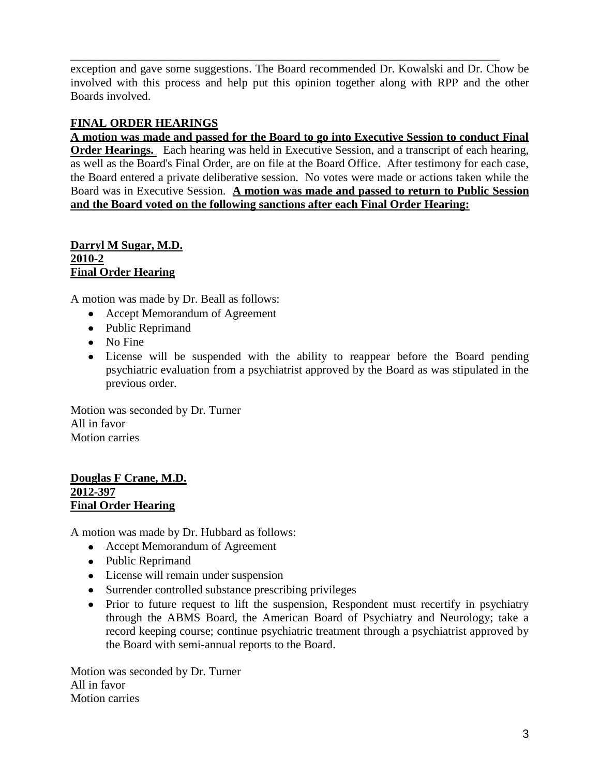exception and gave some suggestions. The Board recommended Dr. Kowalski and Dr. Chow be involved with this process and help put this opinion together along with RPP and the other Boards involved.

\_\_\_\_\_\_\_\_\_\_\_\_\_\_\_\_\_\_\_\_\_\_\_\_\_\_\_\_\_\_\_\_\_\_\_\_\_\_\_\_\_\_\_\_\_\_\_\_\_\_\_\_\_\_\_\_\_\_\_\_\_\_\_\_\_\_\_\_\_\_\_\_\_

# **FINAL ORDER HEARINGS**

**A motion was made and passed for the Board to go into Executive Session to conduct Final Order Hearings.** Each hearing was held in Executive Session, and a transcript of each hearing, as well as the Board's Final Order, are on file at the Board Office. After testimony for each case, the Board entered a private deliberative session. No votes were made or actions taken while the Board was in Executive Session. **A motion was made and passed to return to Public Session and the Board voted on the following sanctions after each Final Order Hearing:**

#### **Darryl M Sugar, M.D. 2010-2 Final Order Hearing**

A motion was made by Dr. Beall as follows:

- Accept Memorandum of Agreement
- Public Reprimand
- No Fine
- License will be suspended with the ability to reappear before the Board pending psychiatric evaluation from a psychiatrist approved by the Board as was stipulated in the previous order.

Motion was seconded by Dr. Turner All in favor Motion carries

## **Douglas F Crane, M.D. 2012-397 Final Order Hearing**

A motion was made by Dr. Hubbard as follows:

- Accept Memorandum of Agreement
- Public Reprimand
- License will remain under suspension
- Surrender controlled substance prescribing privileges
- Prior to future request to lift the suspension, Respondent must recertify in psychiatry through the ABMS Board, the American Board of Psychiatry and Neurology; take a record keeping course; continue psychiatric treatment through a psychiatrist approved by the Board with semi-annual reports to the Board.

Motion was seconded by Dr. Turner All in favor Motion carries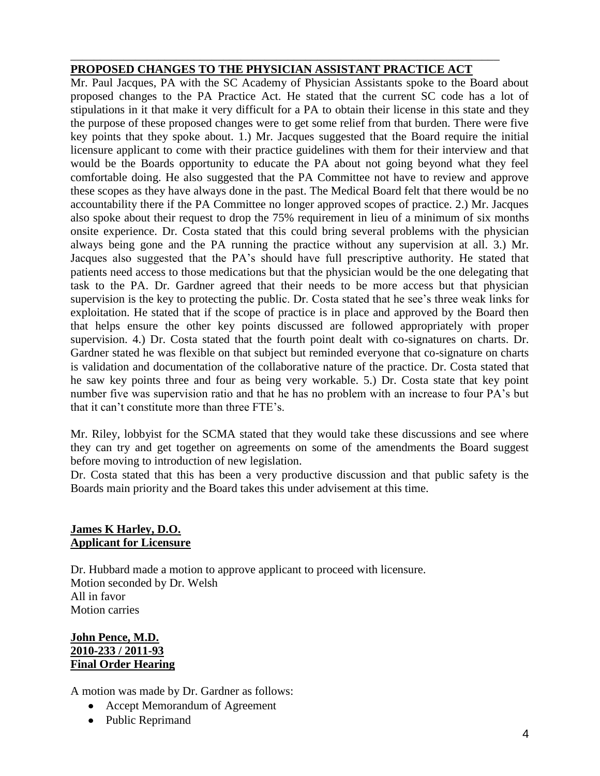## **PROPOSED CHANGES TO THE PHYSICIAN ASSISTANT PRACTICE ACT**

\_\_\_\_\_\_\_\_\_\_\_\_\_\_\_\_\_\_\_\_\_\_\_\_\_\_\_\_\_\_\_\_\_\_\_\_\_\_\_\_\_\_\_\_\_\_\_\_\_\_\_\_\_\_\_\_\_\_\_\_\_\_\_\_\_\_\_\_\_\_\_\_\_

Mr. Paul Jacques, PA with the SC Academy of Physician Assistants spoke to the Board about proposed changes to the PA Practice Act. He stated that the current SC code has a lot of stipulations in it that make it very difficult for a PA to obtain their license in this state and they the purpose of these proposed changes were to get some relief from that burden. There were five key points that they spoke about. 1.) Mr. Jacques suggested that the Board require the initial licensure applicant to come with their practice guidelines with them for their interview and that would be the Boards opportunity to educate the PA about not going beyond what they feel comfortable doing. He also suggested that the PA Committee not have to review and approve these scopes as they have always done in the past. The Medical Board felt that there would be no accountability there if the PA Committee no longer approved scopes of practice. 2.) Mr. Jacques also spoke about their request to drop the 75% requirement in lieu of a minimum of six months onsite experience. Dr. Costa stated that this could bring several problems with the physician always being gone and the PA running the practice without any supervision at all. 3.) Mr. Jacques also suggested that the PA's should have full prescriptive authority. He stated that patients need access to those medications but that the physician would be the one delegating that task to the PA. Dr. Gardner agreed that their needs to be more access but that physician supervision is the key to protecting the public. Dr. Costa stated that he see's three weak links for exploitation. He stated that if the scope of practice is in place and approved by the Board then that helps ensure the other key points discussed are followed appropriately with proper supervision. 4.) Dr. Costa stated that the fourth point dealt with co-signatures on charts. Dr. Gardner stated he was flexible on that subject but reminded everyone that co-signature on charts is validation and documentation of the collaborative nature of the practice. Dr. Costa stated that he saw key points three and four as being very workable. 5.) Dr. Costa state that key point number five was supervision ratio and that he has no problem with an increase to four PA's but that it can't constitute more than three FTE's.

Mr. Riley, lobbyist for the SCMA stated that they would take these discussions and see where they can try and get together on agreements on some of the amendments the Board suggest before moving to introduction of new legislation.

Dr. Costa stated that this has been a very productive discussion and that public safety is the Boards main priority and the Board takes this under advisement at this time.

## **James K Harley, D.O. Applicant for Licensure**

Dr. Hubbard made a motion to approve applicant to proceed with licensure. Motion seconded by Dr. Welsh All in favor Motion carries

## **John Pence, M.D. 2010-233 / 2011-93 Final Order Hearing**

A motion was made by Dr. Gardner as follows:

- Accept Memorandum of Agreement
- Public Reprimand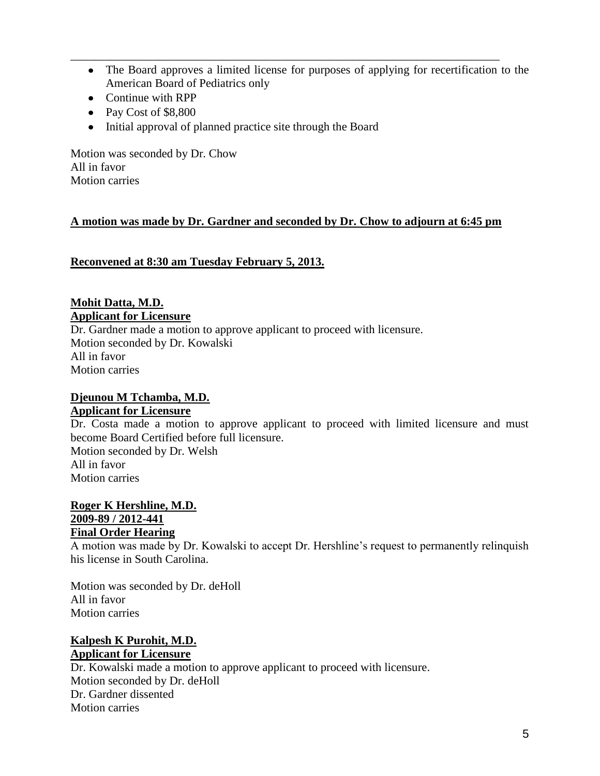The Board approves a limited license for purposes of applying for recertification to the American Board of Pediatrics only

\_\_\_\_\_\_\_\_\_\_\_\_\_\_\_\_\_\_\_\_\_\_\_\_\_\_\_\_\_\_\_\_\_\_\_\_\_\_\_\_\_\_\_\_\_\_\_\_\_\_\_\_\_\_\_\_\_\_\_\_\_\_\_\_\_\_\_\_\_\_\_\_\_

- Continue with RPP
- Pay Cost of \$8,800
- Initial approval of planned practice site through the Board

Motion was seconded by Dr. Chow All in favor Motion carries

## **A motion was made by Dr. Gardner and seconded by Dr. Chow to adjourn at 6:45 pm**

**Reconvened at 8:30 am Tuesday February 5, 2013.**

## **Mohit Datta, M.D. Applicant for Licensure**

Dr. Gardner made a motion to approve applicant to proceed with licensure. Motion seconded by Dr. Kowalski All in favor Motion carries

#### **Djeunou M Tchamba, M.D. Applicant for Licensure**

Dr. Costa made a motion to approve applicant to proceed with limited licensure and must become Board Certified before full licensure. Motion seconded by Dr. Welsh All in favor Motion carries

#### **Roger K Hershline, M.D. 2009-89 / 2012-441 Final Order Hearing**

A motion was made by Dr. Kowalski to accept Dr. Hershline's request to permanently relinquish his license in South Carolina.

Motion was seconded by Dr. deHoll All in favor Motion carries

## **Kalpesh K Purohit, M.D. Applicant for Licensure**

Dr. Kowalski made a motion to approve applicant to proceed with licensure. Motion seconded by Dr. deHoll Dr. Gardner dissented Motion carries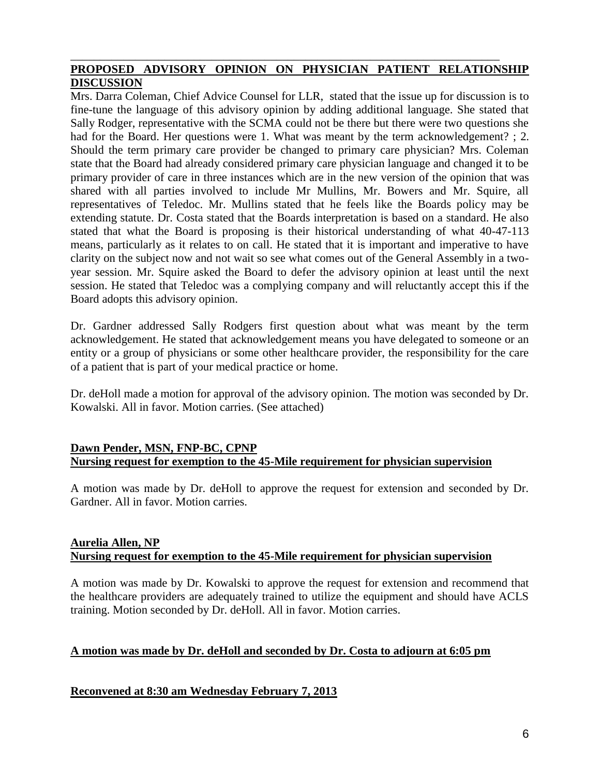## **PROPOSED ADVISORY OPINION ON PHYSICIAN PATIENT RELATIONSHIP DISCUSSION**

\_\_\_\_\_\_\_\_\_\_\_\_\_\_\_\_\_\_\_\_\_\_\_\_\_\_\_\_\_\_\_\_\_\_\_\_\_\_\_\_\_\_\_\_\_\_\_\_\_\_\_\_\_\_\_\_\_\_\_\_\_\_\_\_\_\_\_\_\_\_\_\_\_

Mrs. Darra Coleman, Chief Advice Counsel for LLR, stated that the issue up for discussion is to fine-tune the language of this advisory opinion by adding additional language. She stated that Sally Rodger, representative with the SCMA could not be there but there were two questions she had for the Board. Her questions were 1. What was meant by the term acknowledgement? ; 2. Should the term primary care provider be changed to primary care physician? Mrs. Coleman state that the Board had already considered primary care physician language and changed it to be primary provider of care in three instances which are in the new version of the opinion that was shared with all parties involved to include Mr Mullins, Mr. Bowers and Mr. Squire, all representatives of Teledoc. Mr. Mullins stated that he feels like the Boards policy may be extending statute. Dr. Costa stated that the Boards interpretation is based on a standard. He also stated that what the Board is proposing is their historical understanding of what 40-47-113 means, particularly as it relates to on call. He stated that it is important and imperative to have clarity on the subject now and not wait so see what comes out of the General Assembly in a twoyear session. Mr. Squire asked the Board to defer the advisory opinion at least until the next session. He stated that Teledoc was a complying company and will reluctantly accept this if the Board adopts this advisory opinion.

Dr. Gardner addressed Sally Rodgers first question about what was meant by the term acknowledgement. He stated that acknowledgement means you have delegated to someone or an entity or a group of physicians or some other healthcare provider, the responsibility for the care of a patient that is part of your medical practice or home.

Dr. deHoll made a motion for approval of the advisory opinion. The motion was seconded by Dr. Kowalski. All in favor. Motion carries. (See attached)

## **Dawn Pender, MSN, FNP-BC, CPNP Nursing request for exemption to the 45-Mile requirement for physician supervision**

A motion was made by Dr. deHoll to approve the request for extension and seconded by Dr. Gardner. All in favor. Motion carries.

## **Aurelia Allen, NP Nursing request for exemption to the 45-Mile requirement for physician supervision**

A motion was made by Dr. Kowalski to approve the request for extension and recommend that the healthcare providers are adequately trained to utilize the equipment and should have ACLS training. Motion seconded by Dr. deHoll. All in favor. Motion carries.

## **A motion was made by Dr. deHoll and seconded by Dr. Costa to adjourn at 6:05 pm**

## **Reconvened at 8:30 am Wednesday February 7, 2013**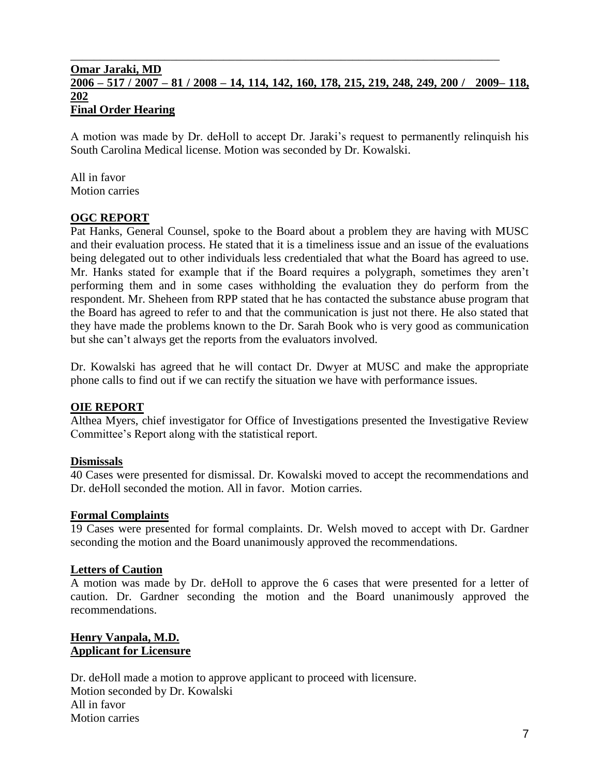## **Omar Jaraki, MD 2006 – 517 / 2007 – 81 / 2008 – 14, 114, 142, 160, 178, 215, 219, 248, 249, 200 / 2009– 118, 202 Final Order Hearing**

\_\_\_\_\_\_\_\_\_\_\_\_\_\_\_\_\_\_\_\_\_\_\_\_\_\_\_\_\_\_\_\_\_\_\_\_\_\_\_\_\_\_\_\_\_\_\_\_\_\_\_\_\_\_\_\_\_\_\_\_\_\_\_\_\_\_\_\_\_\_\_\_\_

A motion was made by Dr. deHoll to accept Dr. Jaraki's request to permanently relinquish his South Carolina Medical license. Motion was seconded by Dr. Kowalski.

All in favor Motion carries

## **OGC REPORT**

Pat Hanks, General Counsel, spoke to the Board about a problem they are having with MUSC and their evaluation process. He stated that it is a timeliness issue and an issue of the evaluations being delegated out to other individuals less credentialed that what the Board has agreed to use. Mr. Hanks stated for example that if the Board requires a polygraph, sometimes they aren't performing them and in some cases withholding the evaluation they do perform from the respondent. Mr. Sheheen from RPP stated that he has contacted the substance abuse program that the Board has agreed to refer to and that the communication is just not there. He also stated that they have made the problems known to the Dr. Sarah Book who is very good as communication but she can't always get the reports from the evaluators involved.

Dr. Kowalski has agreed that he will contact Dr. Dwyer at MUSC and make the appropriate phone calls to find out if we can rectify the situation we have with performance issues.

#### **OIE REPORT**

Althea Myers, chief investigator for Office of Investigations presented the Investigative Review Committee's Report along with the statistical report.

#### **Dismissals**

40 Cases were presented for dismissal. Dr. Kowalski moved to accept the recommendations and Dr. deHoll seconded the motion. All in favor. Motion carries.

#### **Formal Complaints**

19 Cases were presented for formal complaints. Dr. Welsh moved to accept with Dr. Gardner seconding the motion and the Board unanimously approved the recommendations.

#### **Letters of Caution**

A motion was made by Dr. deHoll to approve the 6 cases that were presented for a letter of caution. Dr. Gardner seconding the motion and the Board unanimously approved the recommendations.

#### **Henry Vanpala, M.D. Applicant for Licensure**

Dr. deHoll made a motion to approve applicant to proceed with licensure. Motion seconded by Dr. Kowalski All in favor Motion carries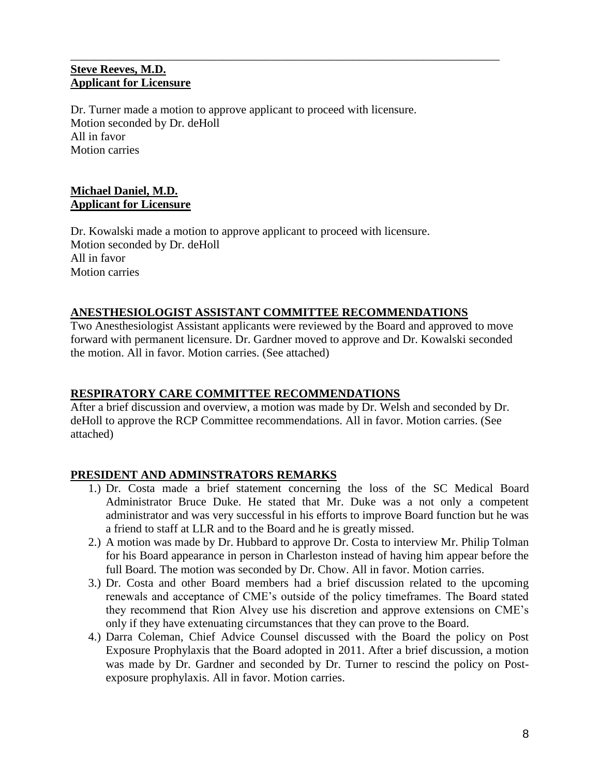## **Steve Reeves, M.D. Applicant for Licensure**

Dr. Turner made a motion to approve applicant to proceed with licensure. Motion seconded by Dr. deHoll All in favor Motion carries

\_\_\_\_\_\_\_\_\_\_\_\_\_\_\_\_\_\_\_\_\_\_\_\_\_\_\_\_\_\_\_\_\_\_\_\_\_\_\_\_\_\_\_\_\_\_\_\_\_\_\_\_\_\_\_\_\_\_\_\_\_\_\_\_\_\_\_\_\_\_\_\_\_

## **Michael Daniel, M.D. Applicant for Licensure**

Dr. Kowalski made a motion to approve applicant to proceed with licensure. Motion seconded by Dr. deHoll All in favor Motion carries

## **ANESTHESIOLOGIST ASSISTANT COMMITTEE RECOMMENDATIONS**

Two Anesthesiologist Assistant applicants were reviewed by the Board and approved to move forward with permanent licensure. Dr. Gardner moved to approve and Dr. Kowalski seconded the motion. All in favor. Motion carries. (See attached)

#### **RESPIRATORY CARE COMMITTEE RECOMMENDATIONS**

After a brief discussion and overview, a motion was made by Dr. Welsh and seconded by Dr. deHoll to approve the RCP Committee recommendations. All in favor. Motion carries. (See attached)

#### **PRESIDENT AND ADMINSTRATORS REMARKS**

- 1.) Dr. Costa made a brief statement concerning the loss of the SC Medical Board Administrator Bruce Duke. He stated that Mr. Duke was a not only a competent administrator and was very successful in his efforts to improve Board function but he was a friend to staff at LLR and to the Board and he is greatly missed.
- 2.) A motion was made by Dr. Hubbard to approve Dr. Costa to interview Mr. Philip Tolman for his Board appearance in person in Charleston instead of having him appear before the full Board. The motion was seconded by Dr. Chow. All in favor. Motion carries.
- 3.) Dr. Costa and other Board members had a brief discussion related to the upcoming renewals and acceptance of CME's outside of the policy timeframes. The Board stated they recommend that Rion Alvey use his discretion and approve extensions on CME's only if they have extenuating circumstances that they can prove to the Board.
- 4.) Darra Coleman, Chief Advice Counsel discussed with the Board the policy on Post Exposure Prophylaxis that the Board adopted in 2011. After a brief discussion, a motion was made by Dr. Gardner and seconded by Dr. Turner to rescind the policy on Postexposure prophylaxis. All in favor. Motion carries.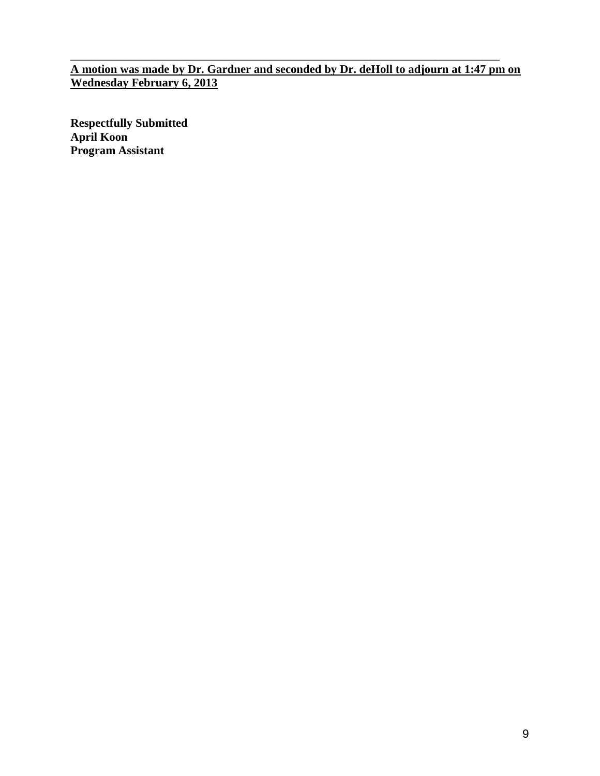**A motion was made by Dr. Gardner and seconded by Dr. deHoll to adjourn at 1:47 pm on Wednesday February 6, 2013**

\_\_\_\_\_\_\_\_\_\_\_\_\_\_\_\_\_\_\_\_\_\_\_\_\_\_\_\_\_\_\_\_\_\_\_\_\_\_\_\_\_\_\_\_\_\_\_\_\_\_\_\_\_\_\_\_\_\_\_\_\_\_\_\_\_\_\_\_\_\_\_\_\_

**Respectfully Submitted April Koon Program Assistant**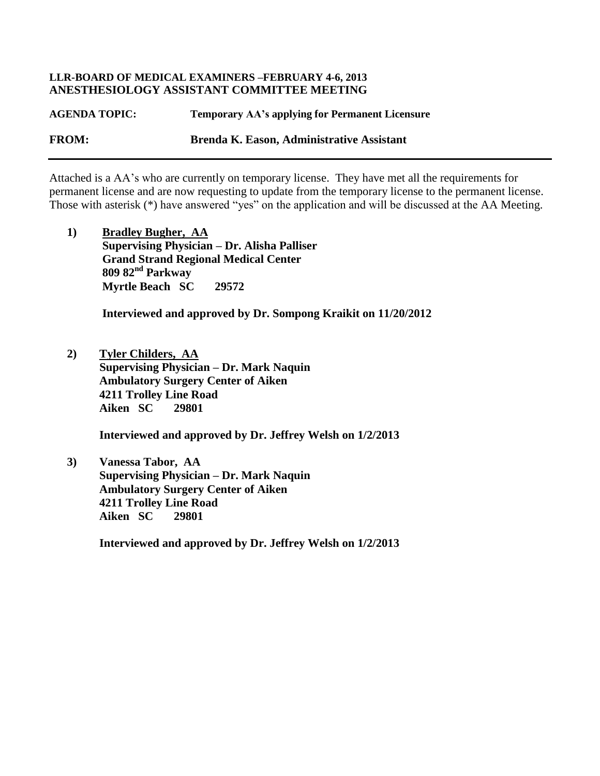#### **LLR-BOARD OF MEDICAL EXAMINERS –FEBRUARY 4-6, 2013 ANESTHESIOLOGY ASSISTANT COMMITTEE MEETING**

**AGENDA TOPIC: Temporary AA's applying for Permanent Licensure FROM: Brenda K. Eason, Administrative Assistant**

Attached is a AA's who are currently on temporary license. They have met all the requirements for permanent license and are now requesting to update from the temporary license to the permanent license. Those with asterisk (\*) have answered "yes" on the application and will be discussed at the AA Meeting.

**1) Bradley Bugher, AA Supervising Physician – Dr. Alisha Palliser Grand Strand Regional Medical Center 809 82nd Parkway Myrtle Beach SC 29572**

 **Interviewed and approved by Dr. Sompong Kraikit on 11/20/2012**

**2) Tyler Childers, AA Supervising Physician – Dr. Mark Naquin Ambulatory Surgery Center of Aiken 4211 Trolley Line Road Aiken SC 29801**

 **Interviewed and approved by Dr. Jeffrey Welsh on 1/2/2013**

**3) Vanessa Tabor, AA Supervising Physician – Dr. Mark Naquin Ambulatory Surgery Center of Aiken 4211 Trolley Line Road Aiken SC 29801**

 **Interviewed and approved by Dr. Jeffrey Welsh on 1/2/2013**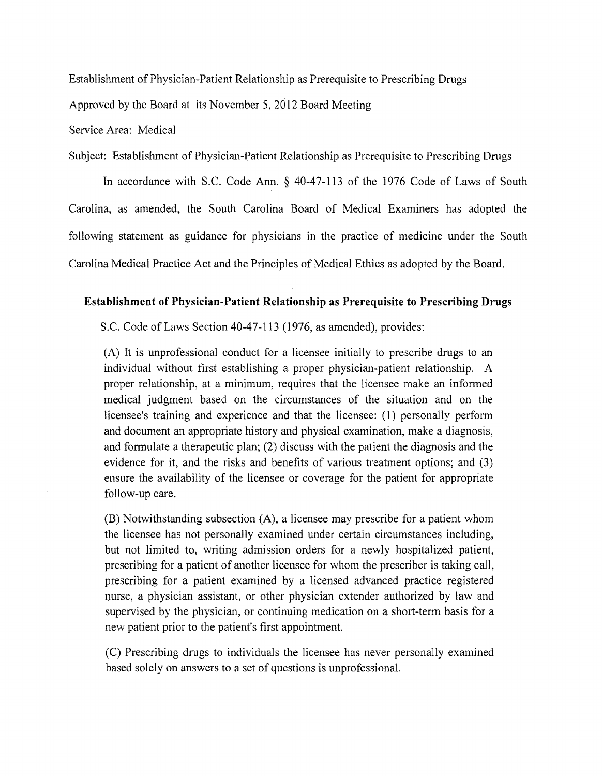Establishment of Physician-Patient Relationship as Prerequisite to Prescribing Drugs

Approved by the Board at its November 5, 2012 Board Meeting

Service Area: Medical

Subject: Establishment of Physician-Patient Relationship as Prerequisite to Prescribing Drugs

In accordance with S.C. Code Ann. § 40-47-113 of the 1976 Code of Laws of South Carolina, as amended, the South Carolina Board of Medical Examiners has adopted the following statement as guidance for physicians in the practice of medicine under the South Carolina Medical Practice Act and the Principles of Medical Ethics as adopted by the Board.

#### **Establishment of Physician-Patient Relationship as Prerequisite to Prescribing Drugs**

S.c. Code of Laws Section 40-47-113 (1976, as amended), provides:

(A) It is unprofessional conduct for a licensee initially to prescribe drugs to an individual without first establishing a proper physician-patient relationship. A proper relationship, at a minimum, requires that the licensee make an informed medical judgment based on the circumstances of the situation and on the licensee's training and experience and that the licensee: (I) personally perform and document an appropriate history and physical examination, make a diagnosis, and formulate a therapeutic plan; (2) discuss with the patient the diagnosis and the evidence for it, and the risks and benefits of various treatment options; and (3) ensure the availability of the licensee or coverage for the patient for appropriate follow-up care.

(B) Notwithstanding subsection (A), a licensee may prescribe for a patient whom the licensee has not personally examined under certain circumstances including, but not limited to, writing admission orders for a newly hospitalized patient, prescribing for a patient of another licensee for whom the prescriber is taking call, prescribing for a patient examined by a licensed advanced practice registered nurse, a physician assistant, or other physician extender authorized by law and supervised by the physician, or continuing medication on a short-term basis for a new patient prior to the patient's first appointment.

(C) Prescribing drugs to individuals the licensee has never personally examined based solely on answers to a set of questions is unprofessional.